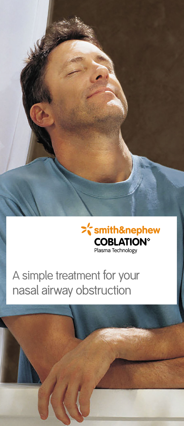



A simple treatment for your nasal airway obstruction

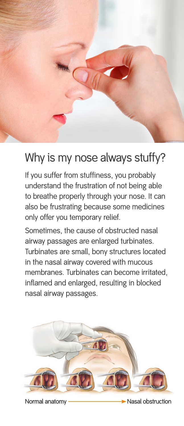

# Why is my nose always stuffy?

If you suffer from stuffiness, you probably understand the frustration of not being able to breathe properly through your nose. It can also be frustrating because some medicines only offer you temporary relief.

Sometimes, the cause of obstructed nasal airway passages are enlarged turbinates. Turbinates are small, bony structures located in the nasal airway covered with mucous membranes. Turbinates can become irritated, inflamed and enlarged, resulting in blocked nasal airway passages.



Normal anatomy ————————— Nasal obstruction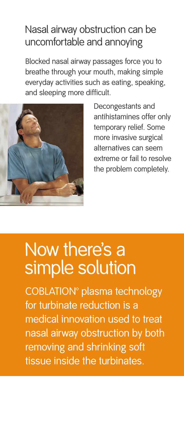### Nasal airway obstruction can be uncomfortable and annoying

Blocked nasal airway passages force you to breathe through your mouth, making simple everyday activities such as eating, speaking, and sleeping more difficult.



Decongestants and antihistamines offer only temporary relief. Some more invasive surgical alternatives can seem extreme or fail to resolve the problem completely.

# Now there's a simple solution

COBLATION<sup>®</sup> plasma technology for turbinate reduction is a medical innovation used to treat nasal airway obstruction by both removing and shrinking soft tissue inside the turbinates.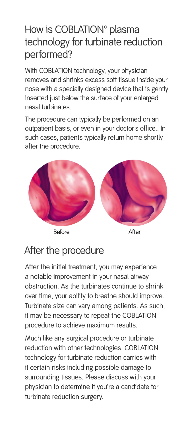### How is COBLATION<sup>®</sup> plasma technology for turbinate reduction performed?

With COBLATION technology, your physician removes and shrinks excess soft tissue inside your nose with a specially designed device that is gently inserted just below the surface of your enlarged nasal turbinates.

The procedure can typically be performed on an outpatient basis, or even in your doctor's office.. In such cases, patients typically return home shortly after the procedure.



## After the procedure

After the initial treatment, you may experience a notable improvement in your nasal airway obstruction. As the turbinates continue to shrink over time, your ability to breathe should improve. Turbinate size can vary among patients. As such, it may be necessary to repeat the COBLATION procedure to achieve maximum results.

Much like any surgical procedure or turbinate reduction with other technologies, COBLATION technology for turbinate reduction carries with it certain risks including possible damage to surrounding tissues. Please discuss with your physician to determine if you're a candidate for turbinate reduction surgery.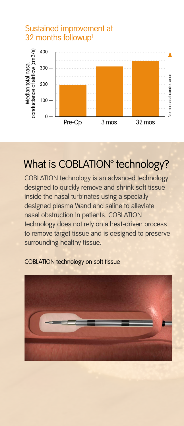

### Sustained improvement at 32 months followup<sup>1</sup>

### What is COBLATION<sup>®</sup> technology?

COBLATION technology is an advanced technology designed to quickly remove and shrink soft tissue inside the nasal turbinates using a specially designed plasma Wand and saline to alleviate nasal obstruction in patients. COBLATION technology does not rely on a heat-driven process to remove target tissue and is designed to preserve surrounding healthy tissue.



COBLATION technology on soft tissue